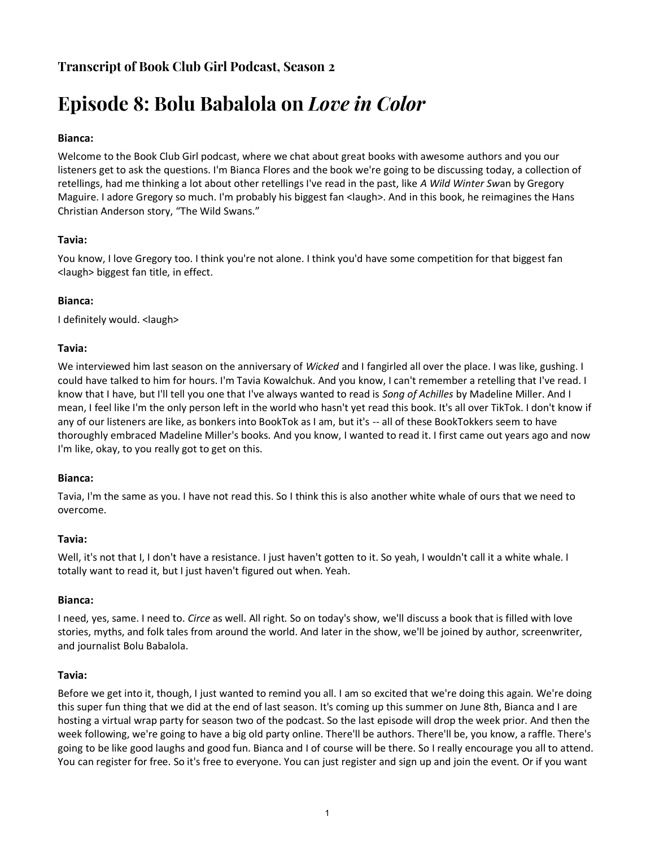## **Transcript of Book Club Girl Podcast, Season 2**

# **Episode 8: Bolu Babalola on** *Love in Color*

## **Bianca:**

Welcome to the Book Club Girl podcast, where we chat about great books with awesome authors and you our listeners get to ask the questions. I'm Bianca Flores and the book we're going to be discussing today, a collection of retellings, had me thinking a lot about other retellings I've read in the past, like *A Wild Winter Sw*an by Gregory Maguire. I adore Gregory so much. I'm probably his biggest fan <laugh>. And in this book, he reimagines the Hans Christian Anderson story, "The Wild Swans."

## **Tavia:**

You know, I love Gregory too. I think you're not alone. I think you'd have some competition for that biggest fan <laugh> biggest fan title, in effect.

## **Bianca:**

I definitely would. <laugh>

#### **Tavia:**

We interviewed him last season on the anniversary of *Wicked* and I fangirled all over the place. I was like, gushing. I could have talked to him for hours. I'm Tavia Kowalchuk. And you know, I can't remember a retelling that I've read. I know that I have, but I'll tell you one that I've always wanted to read is *Song of Achilles* by Madeline Miller. And I mean, I feel like I'm the only person left in the world who hasn't yet read this book. It's all over TikTok. I don't know if any of our listeners are like, as bonkers into BookTok as I am, but it's -- all of these BookTokkers seem to have thoroughly embraced Madeline Miller's books. And you know, I wanted to read it. I first came out years ago and now I'm like, okay, to you really got to get on this.

## **Bianca:**

Tavia, I'm the same as you. I have not read this. So I think this is also another white whale of ours that we need to overcome.

## **Tavia:**

Well, it's not that I, I don't have a resistance. I just haven't gotten to it. So yeah, I wouldn't call it a white whale. I totally want to read it, but I just haven't figured out when. Yeah.

#### **Bianca:**

I need, yes, same. I need to. *Circe* as well. All right. So on today's show, we'll discuss a book that is filled with love stories, myths, and folk tales from around the world. And later in the show, we'll be joined by author, screenwriter, and journalist Bolu Babalola.

#### **Tavia:**

Before we get into it, though, I just wanted to remind you all. I am so excited that we're doing this again. We're doing this super fun thing that we did at the end of last season. It's coming up this summer on June 8th, Bianca and I are hosting a virtual wrap party for season two of the podcast. So the last episode will drop the week prior. And then the week following, we're going to have a big old party online. There'll be authors. There'll be, you know, a raffle. There's going to be like good laughs and good fun. Bianca and I of course will be there. So I really encourage you all to attend. You can register for free. So it's free to everyone. You can just register and sign up and join the event. Or if you want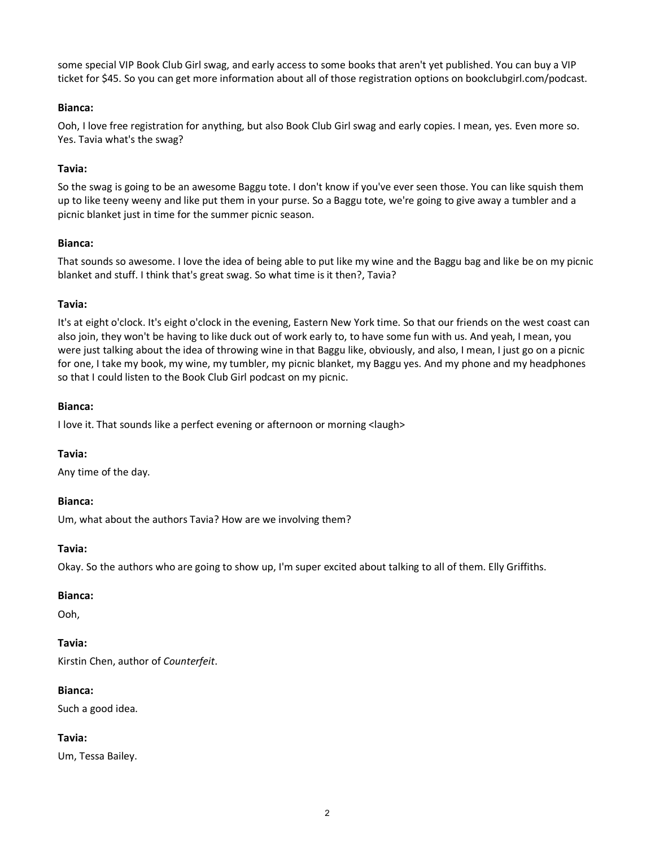some special VIP Book Club Girl swag, and early access to some books that aren't yet published. You can buy a VIP ticket for \$45. So you can get more information about all of those registration options on bookclubgirl.com/podcast.

## **Bianca:**

Ooh, I love free registration for anything, but also Book Club Girl swag and early copies. I mean, yes. Even more so. Yes. Tavia what's the swag?

## **Tavia:**

So the swag is going to be an awesome Baggu tote. I don't know if you've ever seen those. You can like squish them up to like teeny weeny and like put them in your purse. So a Baggu tote, we're going to give away a tumbler and a picnic blanket just in time for the summer picnic season.

#### **Bianca:**

That sounds so awesome. I love the idea of being able to put like my wine and the Baggu bag and like be on my picnic blanket and stuff. I think that's great swag. So what time is it then?, Tavia?

#### **Tavia:**

It's at eight o'clock. It's eight o'clock in the evening, Eastern New York time. So that our friends on the west coast can also join, they won't be having to like duck out of work early to, to have some fun with us. And yeah, I mean, you were just talking about the idea of throwing wine in that Baggu like, obviously, and also, I mean, I just go on a picnic for one, I take my book, my wine, my tumbler, my picnic blanket, my Baggu yes. And my phone and my headphones so that I could listen to the Book Club Girl podcast on my picnic.

#### **Bianca:**

I love it. That sounds like a perfect evening or afternoon or morning <laugh>

## **Tavia:**

Any time of the day.

#### **Bianca:**

Um, what about the authors Tavia? How are we involving them?

#### **Tavia:**

Okay. So the authors who are going to show up, I'm super excited about talking to all of them. Elly Griffiths.

#### **Bianca:**

Ooh,

## **Tavia:**

Kirstin Chen, author of *Counterfeit*.

## **Bianca:**

Such a good idea.

## **Tavia:**

Um, Tessa Bailey.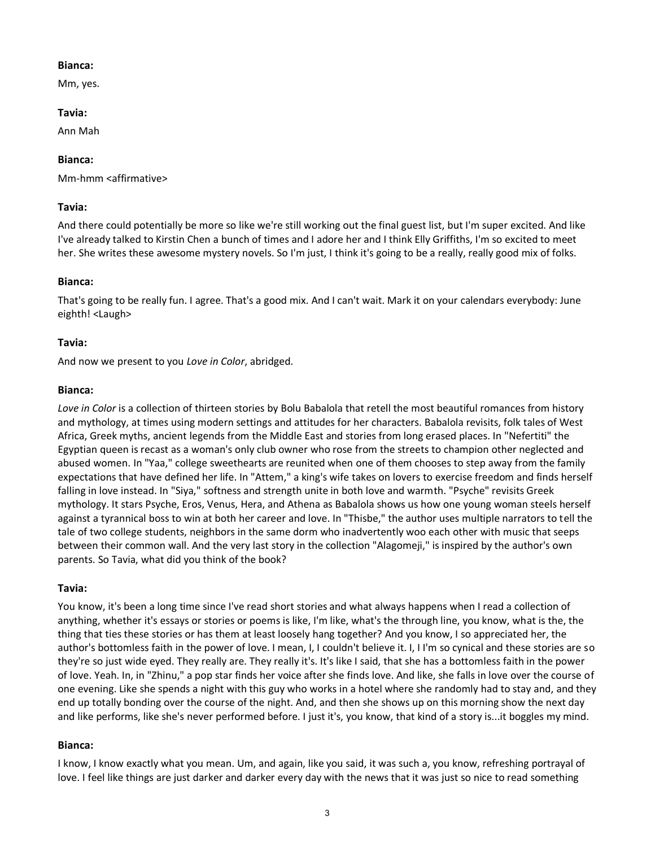#### **Bianca:**

Mm, yes.

#### **Tavia:**

Ann Mah

## **Bianca:**

Mm-hmm <affirmative>

## **Tavia:**

And there could potentially be more so like we're still working out the final guest list, but I'm super excited. And like I've already talked to Kirstin Chen a bunch of times and I adore her and I think Elly Griffiths, I'm so excited to meet her. She writes these awesome mystery novels. So I'm just, I think it's going to be a really, really good mix of folks.

## **Bianca:**

That's going to be really fun. I agree. That's a good mix. And I can't wait. Mark it on your calendars everybody: June eighth! <Laugh>

## **Tavia:**

And now we present to you *Love in Color*, abridged.

#### **Bianca:**

*Love in Color* is a collection of thirteen stories by Bolu Babalola that retell the most beautiful romances from history and mythology, at times using modern settings and attitudes for her characters. Babalola revisits, folk tales of West Africa, Greek myths, ancient legends from the Middle East and stories from long erased places. In "Nefertiti" the Egyptian queen is recast as a woman's only club owner who rose from the streets to champion other neglected and abused women. In "Yaa," college sweethearts are reunited when one of them chooses to step away from the family expectations that have defined her life. In "Attem," a king's wife takes on lovers to exercise freedom and finds herself falling in love instead. In "Siya," softness and strength unite in both love and warmth. "Psyche" revisits Greek mythology. It stars Psyche, Eros, Venus, Hera, and Athena as Babalola shows us how one young woman steels herself against a tyrannical boss to win at both her career and love. In "Thisbe," the author uses multiple narrators to tell the tale of two college students, neighbors in the same dorm who inadvertently woo each other with music that seeps between their common wall. And the very last story in the collection "Alagomeji," is inspired by the author's own parents. So Tavia, what did you think of the book?

## **Tavia:**

You know, it's been a long time since I've read short stories and what always happens when I read a collection of anything, whether it's essays or stories or poems is like, I'm like, what's the through line, you know, what is the, the thing that ties these stories or has them at least loosely hang together? And you know, I so appreciated her, the author's bottomless faith in the power of love. I mean, I, I couldn't believe it. I, I I'm so cynical and these stories are so they're so just wide eyed. They really are. They really it's. It's like I said, that she has a bottomless faith in the power of love. Yeah. In, in "Zhinu," a pop star finds her voice after she finds love. And like, she falls in love over the course of one evening. Like she spends a night with this guy who works in a hotel where she randomly had to stay and, and they end up totally bonding over the course of the night. And, and then she shows up on this morning show the next day and like performs, like she's never performed before. I just it's, you know, that kind of a story is...it boggles my mind.

#### **Bianca:**

I know, I know exactly what you mean. Um, and again, like you said, it was such a, you know, refreshing portrayal of love. I feel like things are just darker and darker every day with the news that it was just so nice to read something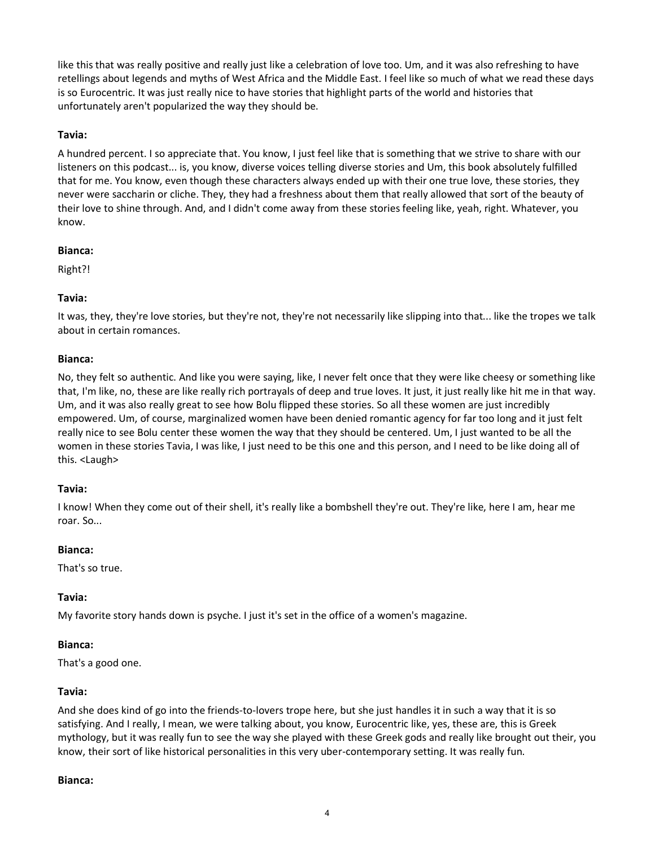like this that was really positive and really just like a celebration of love too. Um, and it was also refreshing to have retellings about legends and myths of West Africa and the Middle East. I feel like so much of what we read these days is so Eurocentric. It was just really nice to have stories that highlight parts of the world and histories that unfortunately aren't popularized the way they should be.

## **Tavia:**

A hundred percent. I so appreciate that. You know, I just feel like that is something that we strive to share with our listeners on this podcast... is, you know, diverse voices telling diverse stories and Um, this book absolutely fulfilled that for me. You know, even though these characters always ended up with their one true love, these stories, they never were saccharin or cliche. They, they had a freshness about them that really allowed that sort of the beauty of their love to shine through. And, and I didn't come away from these stories feeling like, yeah, right. Whatever, you know.

#### **Bianca:**

Right?!

## **Tavia:**

It was, they, they're love stories, but they're not, they're not necessarily like slipping into that... like the tropes we talk about in certain romances.

#### **Bianca:**

No, they felt so authentic. And like you were saying, like, I never felt once that they were like cheesy or something like that, I'm like, no, these are like really rich portrayals of deep and true loves. It just, it just really like hit me in that way. Um, and it was also really great to see how Bolu flipped these stories. So all these women are just incredibly empowered. Um, of course, marginalized women have been denied romantic agency for far too long and it just felt really nice to see Bolu center these women the way that they should be centered. Um, I just wanted to be all the women in these stories Tavia, I was like, I just need to be this one and this person, and I need to be like doing all of this. <Laugh>

#### **Tavia:**

I know! When they come out of their shell, it's really like a bombshell they're out. They're like, here I am, hear me roar. So...

#### **Bianca:**

That's so true.

#### **Tavia:**

My favorite story hands down is psyche. I just it's set in the office of a women's magazine.

#### **Bianca:**

That's a good one.

## **Tavia:**

And she does kind of go into the friends-to-lovers trope here, but she just handles it in such a way that it is so satisfying. And I really, I mean, we were talking about, you know, Eurocentric like, yes, these are, this is Greek mythology, but it was really fun to see the way she played with these Greek gods and really like brought out their, you know, their sort of like historical personalities in this very uber-contemporary setting. It was really fun.

#### **Bianca:**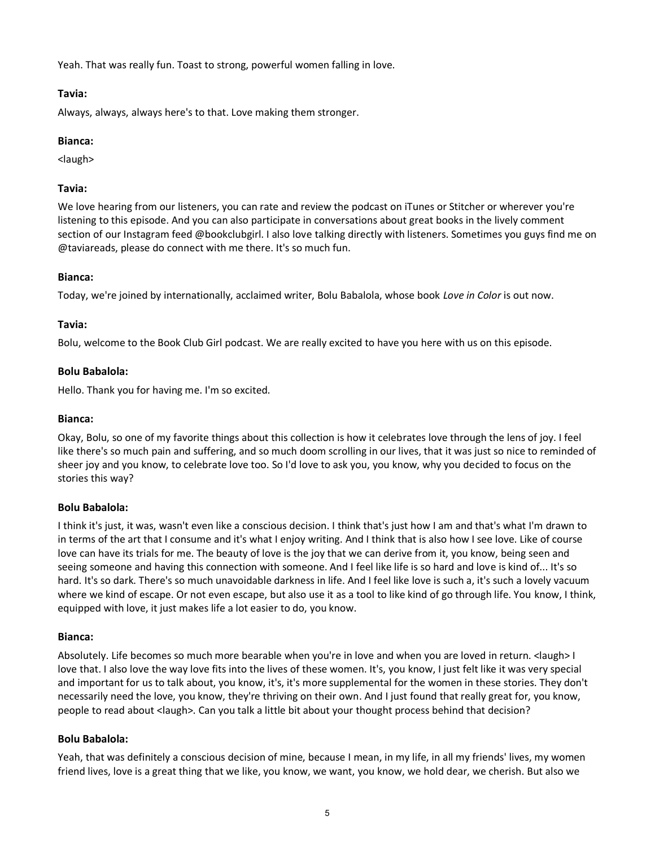Yeah. That was really fun. Toast to strong, powerful women falling in love.

## **Tavia:**

Always, always, always here's to that. Love making them stronger.

## **Bianca:**

<laugh>

## **Tavia:**

We love hearing from our listeners, you can rate and review the podcast on iTunes or Stitcher or wherever you're listening to this episode. And you can also participate in conversations about great books in the lively comment section of our Instagram feed @bookclubgirl. I also love talking directly with listeners. Sometimes you guys find me on @taviareads, please do connect with me there. It's so much fun.

#### **Bianca:**

Today, we're joined by internationally, acclaimed writer, Bolu Babalola, whose book *Love in Color* is out now.

#### **Tavia:**

Bolu, welcome to the Book Club Girl podcast. We are really excited to have you here with us on this episode.

#### **Bolu Babalola:**

Hello. Thank you for having me. I'm so excited.

#### **Bianca:**

Okay, Bolu, so one of my favorite things about this collection is how it celebrates love through the lens of joy. I feel like there's so much pain and suffering, and so much doom scrolling in our lives, that it was just so nice to reminded of sheer joy and you know, to celebrate love too. So I'd love to ask you, you know, why you decided to focus on the stories this way?

#### **Bolu Babalola:**

I think it's just, it was, wasn't even like a conscious decision. I think that's just how I am and that's what I'm drawn to in terms of the art that I consume and it's what I enjoy writing. And I think that is also how I see love. Like of course love can have its trials for me. The beauty of love is the joy that we can derive from it, you know, being seen and seeing someone and having this connection with someone. And I feel like life is so hard and love is kind of... It's so hard. It's so dark. There's so much unavoidable darkness in life. And I feel like love is such a, it's such a lovely vacuum where we kind of escape. Or not even escape, but also use it as a tool to like kind of go through life. You know, I think, equipped with love, it just makes life a lot easier to do, you know.

#### **Bianca:**

Absolutely. Life becomes so much more bearable when you're in love and when you are loved in return. <laugh> I love that. I also love the way love fits into the lives of these women. It's, you know, I just felt like it was very special and important for us to talk about, you know, it's, it's more supplemental for the women in these stories. They don't necessarily need the love, you know, they're thriving on their own. And I just found that really great for, you know, people to read about <laugh>. Can you talk a little bit about your thought process behind that decision?

## **Bolu Babalola:**

Yeah, that was definitely a conscious decision of mine, because I mean, in my life, in all my friends' lives, my women friend lives, love is a great thing that we like, you know, we want, you know, we hold dear, we cherish. But also we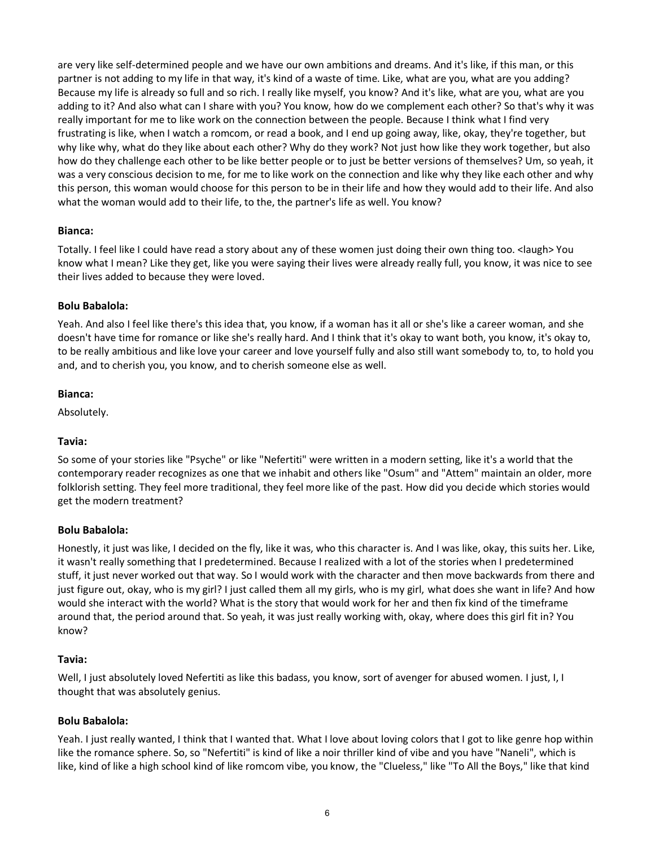are very like self-determined people and we have our own ambitions and dreams. And it's like, if this man, or this partner is not adding to my life in that way, it's kind of a waste of time. Like, what are you, what are you adding? Because my life is already so full and so rich. I really like myself, you know? And it's like, what are you, what are you adding to it? And also what can I share with you? You know, how do we complement each other? So that's why it was really important for me to like work on the connection between the people. Because I think what I find very frustrating is like, when I watch a romcom, or read a book, and I end up going away, like, okay, they're together, but why like why, what do they like about each other? Why do they work? Not just how like they work together, but also how do they challenge each other to be like better people or to just be better versions of themselves? Um, so yeah, it was a very conscious decision to me, for me to like work on the connection and like why they like each other and why this person, this woman would choose for this person to be in their life and how they would add to their life. And also what the woman would add to their life, to the, the partner's life as well. You know?

#### **Bianca:**

Totally. I feel like I could have read a story about any of these women just doing their own thing too. <laugh> You know what I mean? Like they get, like you were saying their lives were already really full, you know, it was nice to see their lives added to because they were loved.

## **Bolu Babalola:**

Yeah. And also I feel like there's this idea that, you know, if a woman has it all or she's like a career woman, and she doesn't have time for romance or like she's really hard. And I think that it's okay to want both, you know, it's okay to, to be really ambitious and like love your career and love yourself fully and also still want somebody to, to, to hold you and, and to cherish you, you know, and to cherish someone else as well.

#### **Bianca:**

Absolutely.

## **Tavia:**

So some of your stories like "Psyche" or like "Nefertiti" were written in a modern setting, like it's a world that the contemporary reader recognizes as one that we inhabit and others like "Osum" and "Attem" maintain an older, more folklorish setting. They feel more traditional, they feel more like of the past. How did you decide which stories would get the modern treatment?

#### **Bolu Babalola:**

Honestly, it just was like, I decided on the fly, like it was, who this character is. And I was like, okay, this suits her. Like, it wasn't really something that I predetermined. Because I realized with a lot of the stories when I predetermined stuff, it just never worked out that way. So I would work with the character and then move backwards from there and just figure out, okay, who is my girl? I just called them all my girls, who is my girl, what does she want in life? And how would she interact with the world? What is the story that would work for her and then fix kind of the timeframe around that, the period around that. So yeah, it was just really working with, okay, where does this girl fit in? You know?

## **Tavia:**

Well, I just absolutely loved Nefertiti as like this badass, you know, sort of avenger for abused women. I just, I, I thought that was absolutely genius.

## **Bolu Babalola:**

Yeah. I just really wanted, I think that I wanted that. What I love about loving colors that I got to like genre hop within like the romance sphere. So, so "Nefertiti" is kind of like a noir thriller kind of vibe and you have "Naneli", which is like, kind of like a high school kind of like romcom vibe, you know, the "Clueless," like "To All the Boys," like that kind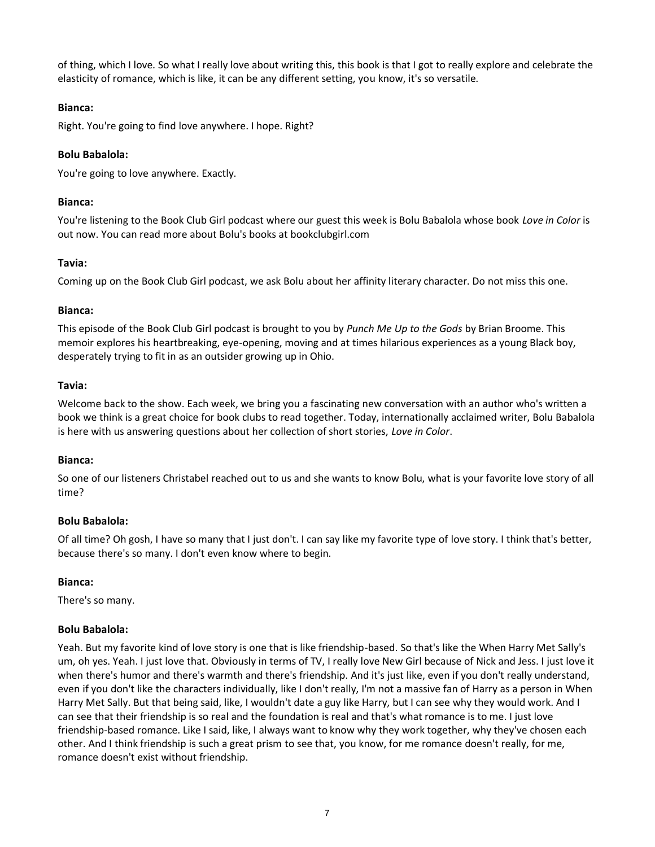of thing, which I love. So what I really love about writing this, this book is that I got to really explore and celebrate the elasticity of romance, which is like, it can be any different setting, you know, it's so versatile.

## **Bianca:**

Right. You're going to find love anywhere. I hope. Right?

## **Bolu Babalola:**

You're going to love anywhere. Exactly.

#### **Bianca:**

You're listening to the Book Club Girl podcast where our guest this week is Bolu Babalola whose book *Love in Color* is out now. You can read more about Bolu's books at bookclubgirl.com

## **Tavia:**

Coming up on the Book Club Girl podcast, we ask Bolu about her affinity literary character. Do not miss this one.

#### **Bianca:**

This episode of the Book Club Girl podcast is brought to you by *Punch Me Up to the Gods* by Brian Broome. This memoir explores his heartbreaking, eye-opening, moving and at times hilarious experiences as a young Black boy, desperately trying to fit in as an outsider growing up in Ohio.

#### **Tavia:**

Welcome back to the show. Each week, we bring you a fascinating new conversation with an author who's written a book we think is a great choice for book clubs to read together. Today, internationally acclaimed writer, Bolu Babalola is here with us answering questions about her collection of short stories, *Love in Color*.

## **Bianca:**

So one of our listeners Christabel reached out to us and she wants to know Bolu, what is your favorite love story of all time?

## **Bolu Babalola:**

Of all time? Oh gosh, I have so many that I just don't. I can say like my favorite type of love story. I think that's better, because there's so many. I don't even know where to begin.

## **Bianca:**

There's so many.

## **Bolu Babalola:**

Yeah. But my favorite kind of love story is one that is like friendship-based. So that's like the When Harry Met Sally's um, oh yes. Yeah. I just love that. Obviously in terms of TV, I really love New Girl because of Nick and Jess. I just love it when there's humor and there's warmth and there's friendship. And it's just like, even if you don't really understand, even if you don't like the characters individually, like I don't really, I'm not a massive fan of Harry as a person in When Harry Met Sally. But that being said, like, I wouldn't date a guy like Harry, but I can see why they would work. And I can see that their friendship is so real and the foundation is real and that's what romance is to me. I just love friendship-based romance. Like I said, like, I always want to know why they work together, why they've chosen each other. And I think friendship is such a great prism to see that, you know, for me romance doesn't really, for me, romance doesn't exist without friendship.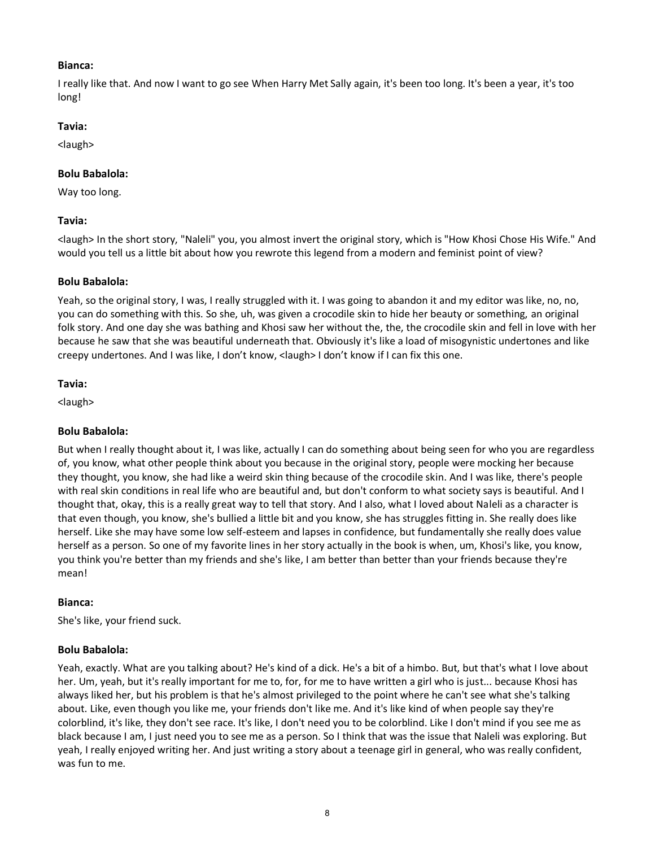## **Bianca:**

I really like that. And now I want to go see When Harry Met Sally again, it's been too long. It's been a year, it's too long!

#### **Tavia:**

<laugh>

## **Bolu Babalola:**

Way too long.

#### **Tavia:**

<laugh> In the short story, "Naleli" you, you almost invert the original story, which is "How Khosi Chose His Wife." And would you tell us a little bit about how you rewrote this legend from a modern and feminist point of view?

#### **Bolu Babalola:**

Yeah, so the original story, I was, I really struggled with it. I was going to abandon it and my editor was like, no, no, you can do something with this. So she, uh, was given a crocodile skin to hide her beauty or something, an original folk story. And one day she was bathing and Khosi saw her without the, the, the crocodile skin and fell in love with her because he saw that she was beautiful underneath that. Obviously it's like a load of misogynistic undertones and like creepy undertones. And I was like, I don't know, <laugh> I don't know if I can fix this one.

#### **Tavia:**

<laugh>

## **Bolu Babalola:**

But when I really thought about it, I was like, actually I can do something about being seen for who you are regardless of, you know, what other people think about you because in the original story, people were mocking her because they thought, you know, she had like a weird skin thing because of the crocodile skin. And I was like, there's people with real skin conditions in real life who are beautiful and, but don't conform to what society says is beautiful. And I thought that, okay, this is a really great way to tell that story. And I also, what I loved about Naleli as a character is that even though, you know, she's bullied a little bit and you know, she has struggles fitting in. She really does like herself. Like she may have some low self-esteem and lapses in confidence, but fundamentally she really does value herself as a person. So one of my favorite lines in her story actually in the book is when, um, Khosi's like, you know, you think you're better than my friends and she's like, I am better than better than your friends because they're mean!

## **Bianca:**

She's like, your friend suck.

## **Bolu Babalola:**

Yeah, exactly. What are you talking about? He's kind of a dick. He's a bit of a himbo. But, but that's what I love about her. Um, yeah, but it's really important for me to, for, for me to have written a girl who is just... because Khosi has always liked her, but his problem is that he's almost privileged to the point where he can't see what she's talking about. Like, even though you like me, your friends don't like me. And it's like kind of when people say they're colorblind, it's like, they don't see race. It's like, I don't need you to be colorblind. Like I don't mind if you see me as black because I am, I just need you to see me as a person. So I think that was the issue that Naleli was exploring. But yeah, I really enjoyed writing her. And just writing a story about a teenage girl in general, who was really confident, was fun to me.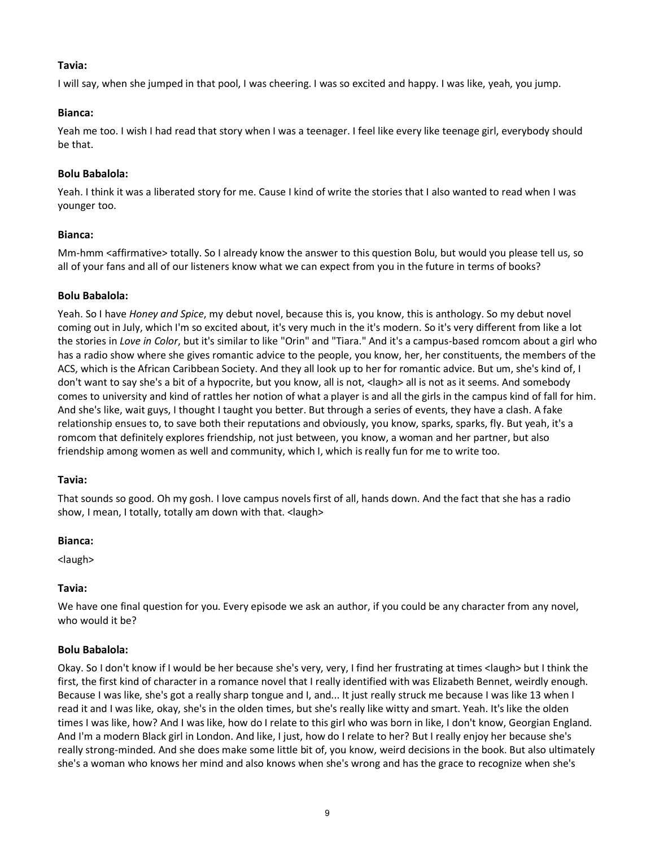## **Tavia:**

I will say, when she jumped in that pool, I was cheering. I was so excited and happy. I was like, yeah, you jump.

## **Bianca:**

Yeah me too. I wish I had read that story when I was a teenager. I feel like every like teenage girl, everybody should be that.

## **Bolu Babalola:**

Yeah. I think it was a liberated story for me. Cause I kind of write the stories that I also wanted to read when I was younger too.

#### **Bianca:**

Mm-hmm <affirmative> totally. So I already know the answer to this question Bolu, but would you please tell us, so all of your fans and all of our listeners know what we can expect from you in the future in terms of books?

#### **Bolu Babalola:**

Yeah. So I have *Honey and Spice*, my debut novel, because this is, you know, this is anthology. So my debut novel coming out in July, which I'm so excited about, it's very much in the it's modern. So it's very different from like a lot the stories in *Love in Color*, but it's similar to like "Orin" and "Tiara." And it's a campus-based romcom about a girl who has a radio show where she gives romantic advice to the people, you know, her, her constituents, the members of the ACS, which is the African Caribbean Society. And they all look up to her for romantic advice. But um, she's kind of, I don't want to say she's a bit of a hypocrite, but you know, all is not, <laugh> all is not as it seems. And somebody comes to university and kind of rattles her notion of what a player is and all the girls in the campus kind of fall for him. And she's like, wait guys, I thought I taught you better. But through a series of events, they have a clash. A fake relationship ensues to, to save both their reputations and obviously, you know, sparks, sparks, fly. But yeah, it's a romcom that definitely explores friendship, not just between, you know, a woman and her partner, but also friendship among women as well and community, which I, which is really fun for me to write too.

#### **Tavia:**

That sounds so good. Oh my gosh. I love campus novels first of all, hands down. And the fact that she has a radio show, I mean, I totally, totally am down with that. <laugh>

#### **Bianca:**

<laugh>

## **Tavia:**

We have one final question for you. Every episode we ask an author, if you could be any character from any novel, who would it be?

## **Bolu Babalola:**

Okay. So I don't know if I would be her because she's very, very, I find her frustrating at times <laugh> but I think the first, the first kind of character in a romance novel that I really identified with was Elizabeth Bennet, weirdly enough. Because I was like, she's got a really sharp tongue and I, and... It just really struck me because I was like 13 when I read it and I was like, okay, she's in the olden times, but she's really like witty and smart. Yeah. It's like the olden times I was like, how? And I was like, how do I relate to this girl who was born in like, I don't know, Georgian England. And I'm a modern Black girl in London. And like, I just, how do I relate to her? But I really enjoy her because she's really strong-minded. And she does make some little bit of, you know, weird decisions in the book. But also ultimately she's a woman who knows her mind and also knows when she's wrong and has the grace to recognize when she's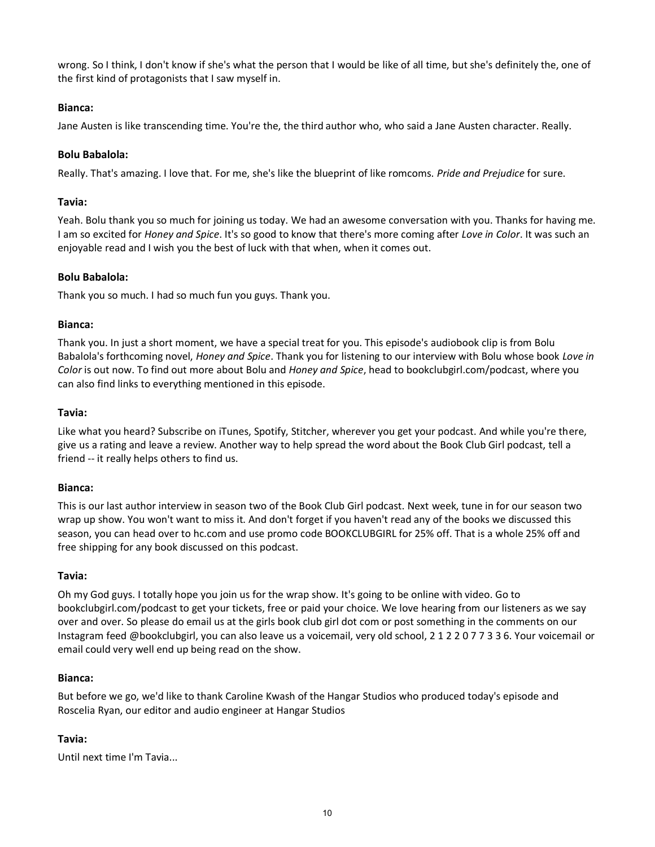wrong. So I think, I don't know if she's what the person that I would be like of all time, but she's definitely the, one of the first kind of protagonists that I saw myself in.

## **Bianca:**

Jane Austen is like transcending time. You're the, the third author who, who said a Jane Austen character. Really.

## **Bolu Babalola:**

Really. That's amazing. I love that. For me, she's like the blueprint of like romcoms. *Pride and Prejudice* for sure.

#### **Tavia:**

Yeah. Bolu thank you so much for joining us today. We had an awesome conversation with you. Thanks for having me. I am so excited for *Honey and Spice*. It's so good to know that there's more coming after *Love in Color*. It was such an enjoyable read and I wish you the best of luck with that when, when it comes out.

#### **Bolu Babalola:**

Thank you so much. I had so much fun you guys. Thank you.

#### **Bianca:**

Thank you. In just a short moment, we have a special treat for you. This episode's audiobook clip is from Bolu Babalola's forthcoming novel, *Honey and Spice*. Thank you for listening to our interview with Bolu whose book *Love in Color* is out now. To find out more about Bolu and *Honey and Spice*, head to bookclubgirl.com/podcast, where you can also find links to everything mentioned in this episode.

#### **Tavia:**

Like what you heard? Subscribe on iTunes, Spotify, Stitcher, wherever you get your podcast. And while you're there, give us a rating and leave a review. Another way to help spread the word about the Book Club Girl podcast, tell a friend -- it really helps others to find us.

## **Bianca:**

This is our last author interview in season two of the Book Club Girl podcast. Next week, tune in for our season two wrap up show. You won't want to miss it. And don't forget if you haven't read any of the books we discussed this season, you can head over to hc.com and use promo code BOOKCLUBGIRL for 25% off. That is a whole 25% off and free shipping for any book discussed on this podcast.

#### **Tavia:**

Oh my God guys. I totally hope you join us for the wrap show. It's going to be online with video. Go to bookclubgirl.com/podcast to get your tickets, free or paid your choice. We love hearing from our listeners as we say over and over. So please do email us at the girls book club girl dot com or post something in the comments on our Instagram feed @bookclubgirl, you can also leave us a voicemail, very old school, 2 1 2 2 0 7 7 3 3 6. Your voicemail or email could very well end up being read on the show.

#### **Bianca:**

But before we go, we'd like to thank Caroline Kwash of the Hangar Studios who produced today's episode and Roscelia Ryan, our editor and audio engineer at Hangar Studios

## **Tavia:**

Until next time I'm Tavia...